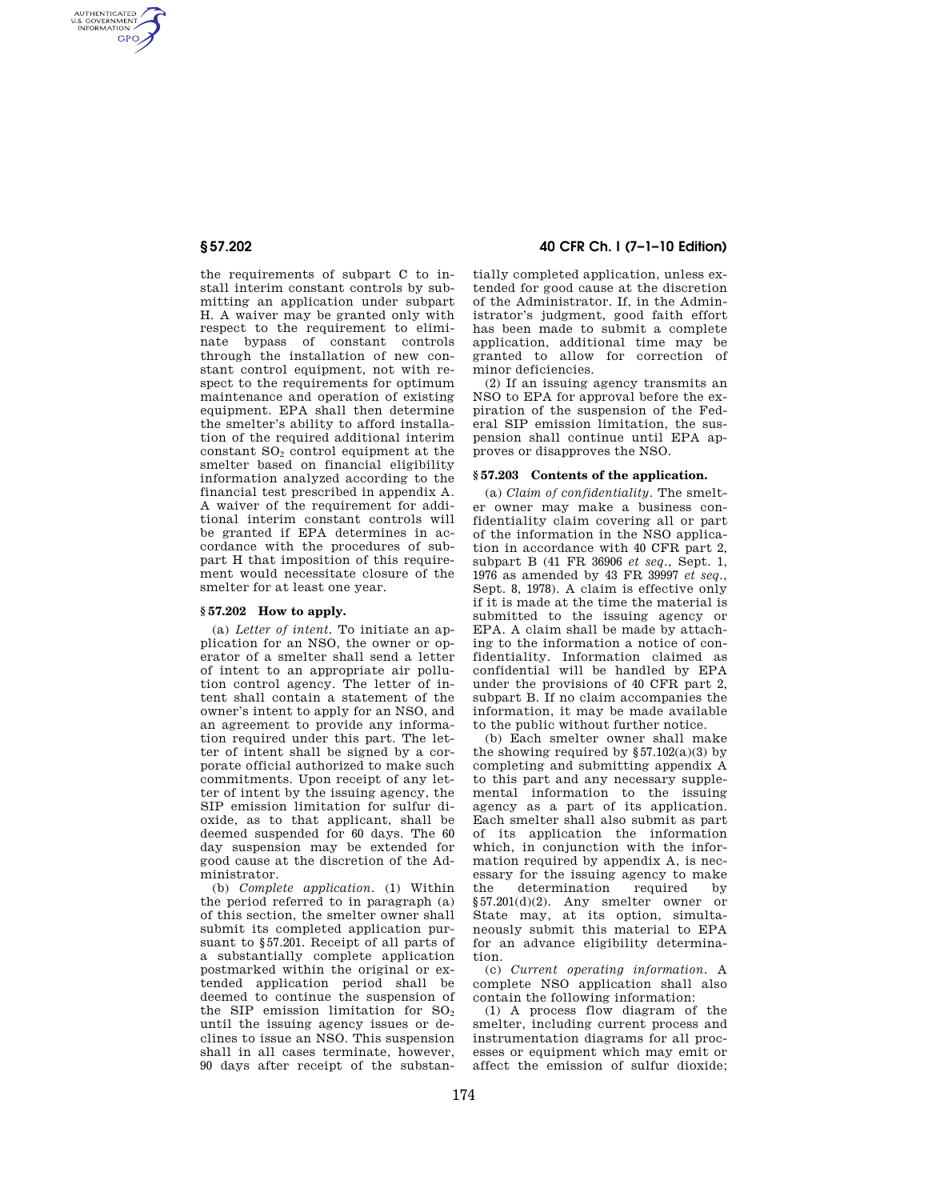AUTHENTICATED<br>U.S. GOVERNMENT<br>INFORMATION **GPO** 

> the requirements of subpart C to install interim constant controls by submitting an application under subpart H. A waiver may be granted only with respect to the requirement to eliminate bypass of constant controls through the installation of new constant control equipment, not with respect to the requirements for optimum maintenance and operation of existing equipment. EPA shall then determine the smelter's ability to afford installation of the required additional interim constant SO<sup>2</sup> control equipment at the smelter based on financial eligibility information analyzed according to the financial test prescribed in appendix A. A waiver of the requirement for additional interim constant controls will be granted if EPA determines in accordance with the procedures of subpart H that imposition of this requirement would necessitate closure of the smelter for at least one year.

## **§ 57.202 How to apply.**

(a) *Letter of intent.* To initiate an application for an NSO, the owner or operator of a smelter shall send a letter of intent to an appropriate air pollution control agency. The letter of intent shall contain a statement of the owner's intent to apply for an NSO, and an agreement to provide any information required under this part. The letter of intent shall be signed by a corporate official authorized to make such commitments. Upon receipt of any letter of intent by the issuing agency, the SIP emission limitation for sulfur dioxide, as to that applicant, shall be deemed suspended for 60 days. The 60 day suspension may be extended for good cause at the discretion of the Administrator.

(b) *Complete application.* (1) Within the period referred to in paragraph (a) of this section, the smelter owner shall submit its completed application pursuant to §57.201. Receipt of all parts of a substantially complete application postmarked within the original or extended application period shall be deemed to continue the suspension of the SIP emission limitation for  $SO<sub>2</sub>$ until the issuing agency issues or declines to issue an NSO. This suspension shall in all cases terminate, however, 90 days after receipt of the substan-

# **§ 57.202 40 CFR Ch. I (7–1–10 Edition)**

tially completed application, unless extended for good cause at the discretion of the Administrator. If, in the Administrator's judgment, good faith effort has been made to submit a complete application, additional time may be granted to allow for correction of minor deficiencies.

(2) If an issuing agency transmits an NSO to EPA for approval before the expiration of the suspension of the Federal SIP emission limitation, the suspension shall continue until EPA approves or disapproves the NSO.

### **§ 57.203 Contents of the application.**

(a) *Claim of confidentiality.* The smelter owner may make a business confidentiality claim covering all or part of the information in the NSO application in accordance with 40 CFR part 2, subpart B (41 FR 36906 *et seq*., Sept. 1, 1976 as amended by 43 FR 39997 *et seq*., Sept. 8, 1978). A claim is effective only if it is made at the time the material is submitted to the issuing agency or EPA. A claim shall be made by attaching to the information a notice of confidentiality. Information claimed as confidential will be handled by EPA under the provisions of 40 CFR part 2, subpart B. If no claim accompanies the information, it may be made available to the public without further notice.

(b) Each smelter owner shall make the showing required by  $\S 57.102(a)(3)$  by completing and submitting appendix A to this part and any necessary supplemental information to the issuing agency as a part of its application. Each smelter shall also submit as part of its application the information which, in conjunction with the information required by appendix A, is necessary for the issuing agency to make the determination required by §57.201(d)(2). Any smelter owner or State may, at its option, simultaneously submit this material to EPA for an advance eligibility determination.

(c) *Current operating information.* A complete NSO application shall also contain the following information:

(1) A process flow diagram of the smelter, including current process and instrumentation diagrams for all processes or equipment which may emit or affect the emission of sulfur dioxide;